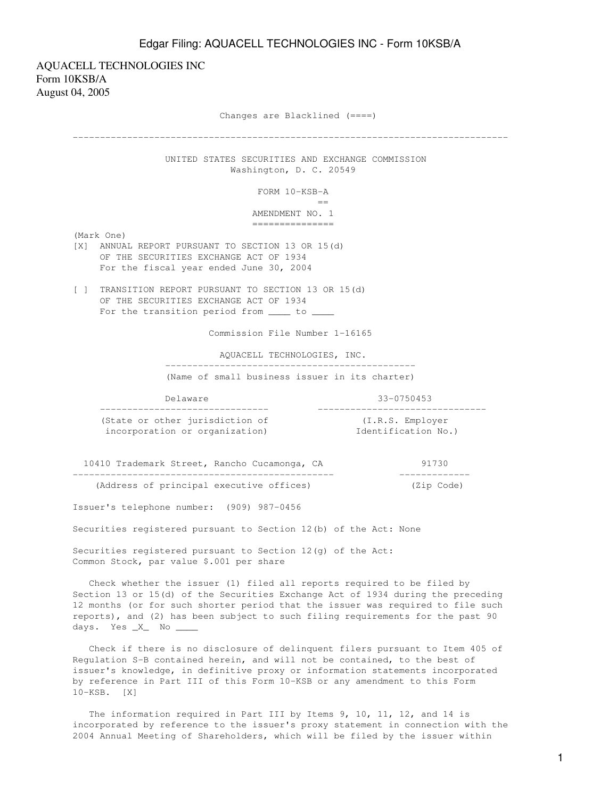## Edgar Filing: AQUACELL TECHNOLOGIES INC - Form 10KSB/A

AQUACELL TECHNOLOGIES INC Form 10KSB/A August 04, 2005

Changes are Blacklined (====)

-------------------------------------------------------------------------------- UNITED STATES SECURITIES AND EXCHANGE COMMISSION Washington, D. C. 20549 FORM 10-KSB-A en de la construction de la construction de la construction de la construction de la construction de la constr<br>La construction de la construction de la construction de la construction de la construction de la construction AMENDMENT NO. 1 =============== (Mark One) [X] ANNUAL REPORT PURSUANT TO SECTION 13 OR 15(d) OF THE SECURITIES EXCHANGE ACT OF 1934 For the fiscal year ended June 30, 2004 [ ] TRANSITION REPORT PURSUANT TO SECTION 13 OR 15(d) OF THE SECURITIES EXCHANGE ACT OF 1934 For the transition period from \_\_\_\_\_ to \_ Commission File Number 1-16165 AQUACELL TECHNOLOGIES, INC. ---------------------------------------------- (Name of small business issuer in its charter) Delaware 33-0750453 ------------------------------- ------------------------------- (State or other jurisdiction of (I.R.S. Employer incorporation or organization) **Identification No.**) 10410 Trademark Street, Rancho Cucamonga, CA 91730 ------------------------------------------------ ------------- (Address of principal executive offices) (Zip Code) Issuer's telephone number: (909) 987-0456 Securities registered pursuant to Section 12(b) of the Act: None Securities registered pursuant to Section 12(g) of the Act: Common Stock, par value \$.001 per share Check whether the issuer (1) filed all reports required to be filed by Section 13 or 15(d) of the Securities Exchange Act of 1934 during the preceding 12 months (or for such shorter period that the issuer was required to file such reports), and (2) has been subject to such filing requirements for the past 90 days. Yes \_X\_ No \_\_\_\_ Check if there is no disclosure of delinquent filers pursuant to Item 405 of Regulation S-B contained herein, and will not be contained, to the best of issuer's knowledge, in definitive proxy or information statements incorporated by reference in Part III of this Form 10-KSB or any amendment to this Form 10-KSB. [X]

 The information required in Part III by Items 9, 10, 11, 12, and 14 is incorporated by reference to the issuer's proxy statement in connection with the 2004 Annual Meeting of Shareholders, which will be filed by the issuer within